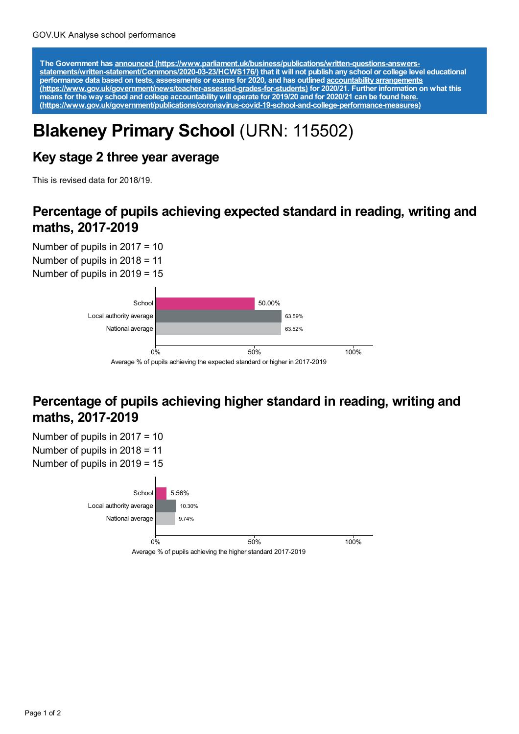The Government has announced [\(https://www.parliament.uk/business/publications/written-questions-answers-](https://www.parliament.uk/business/publications/written-questions-answers-statements/written-statement/Commons/2020-03-23/HCWS176/)<br>statements/written-statement/Commons/2020-03-23/HCWS176/) that it will not publish any school or college level educat **performance data based on tests, assessments or exams for 2020, and has outlined accountability arrangements [\(https://www.gov.uk/government/news/teacher-assessed-grades-for-students\)](https://www.gov.uk/government/news/teacher-assessed-grades-for-students) for 2020/21. Further information on what this** means for the way school and college accountability will operate for 2019/20 and for 2020/21 can be found <u>here.</u> **[\(https://www.gov.uk/government/publications/coronavirus-covid-19-school-and-college-performance-measures\)](https://www.gov.uk/government/publications/coronavirus-covid-19-school-and-college-performance-measures)**

# **Blakeney Primary School** (URN: 115502)

## **Key stage 2 three year average**

This is revised data for 2018/19.

#### **Percentage of pupils achieving expected standard in reading, writing and maths, 2017-2019**

Number of pupils in 2017 = 10 Number of pupils in 2018 = 11 Number of pupils in 2019 = 15



## **Percentage of pupils achieving higher standard in reading, writing and maths, 2017-2019**

Number of pupils in 2017 = 10 Number of pupils in 2018 = 11 Number of pupils in 2019 = 15